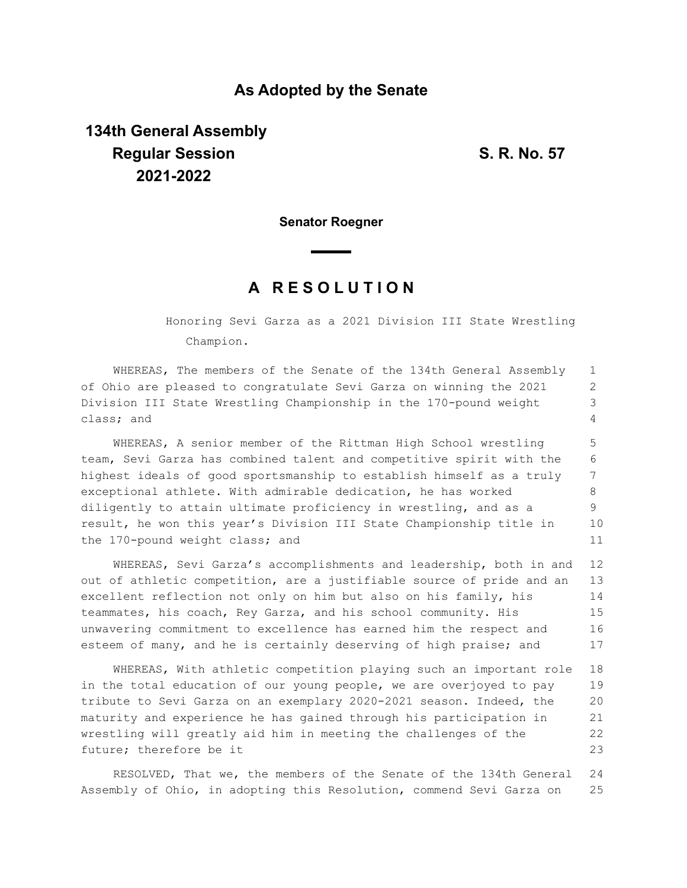### **As Adopted by the Senate**

# **134th General Assembly Regular Session S. R. No. 57 2021-2022**

**Senator Roegner**

## **A R E S O L U T I O N**

Honoring Sevi Garza as a 2021 Division III State Wrestling Champion.

WHEREAS, The members of the Senate of the 134th General Assembly of Ohio are pleased to congratulate Sevi Garza on winning the 2021 Division III State Wrestling Championship in the 170-pound weight class; and 1 2 3 4

WHEREAS, A senior member of the Rittman High School wrestling team, Sevi Garza has combined talent and competitive spirit with the highest ideals of good sportsmanship to establish himself as a truly exceptional athlete. With admirable dedication, he has worked diligently to attain ultimate proficiency in wrestling, and as a result, he won this year's Division III State Championship title in the 170-pound weight class; and 5 6 7 8 9 10 11

WHEREAS, Sevi Garza's accomplishments and leadership, both in and out of athletic competition, are a justifiable source of pride and an excellent reflection not only on him but also on his family, his teammates, his coach, Rey Garza, and his school community. His unwavering commitment to excellence has earned him the respect and esteem of many, and he is certainly deserving of high praise; and 12 13 14 15 16 17

WHEREAS, With athletic competition playing such an important role in the total education of our young people, we are overjoyed to pay tribute to Sevi Garza on an exemplary 2020-2021 season. Indeed, the maturity and experience he has gained through his participation in wrestling will greatly aid him in meeting the challenges of the future; therefore be it 18 19 20 21 22 23

RESOLVED, That we, the members of the Senate of the 134th General Assembly of Ohio, in adopting this Resolution, commend Sevi Garza on 24 25